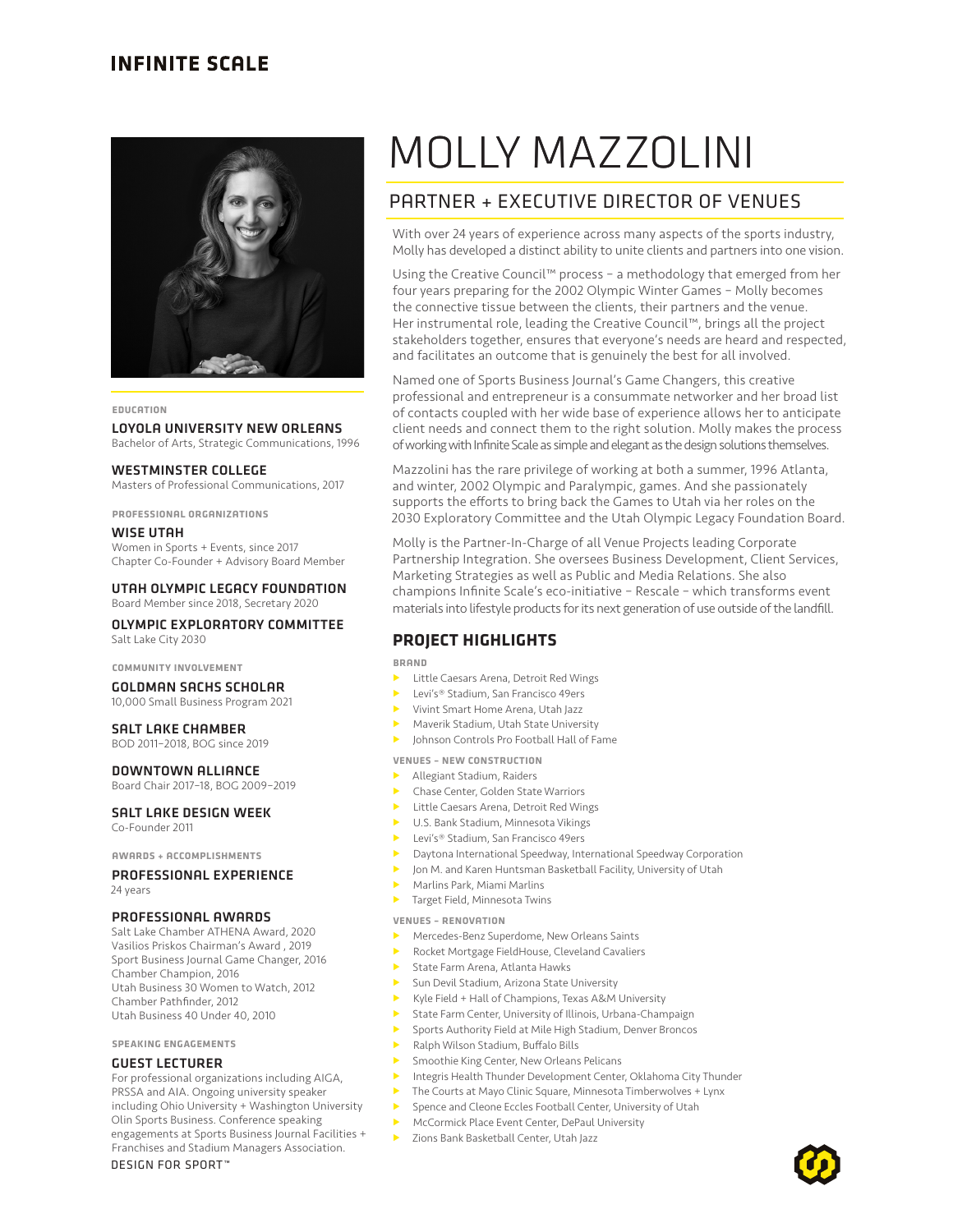

#### **EDUCATION**

# LOYOLA UNIVERSITY NEW ORLEANS

Bachelor of Arts, Strategic Communications, 1996

#### WESTMINSTER COLLEGE

Masters of Professional Communications, 2017

**PROFESSIONAL ORGANIZATIONS**

#### WISE **UTAH**

Women in Sports + Events, since 2017 Chapter Co-Founder + Advisory Board Member

#### UTAH OLYMPIC LEGACY FOUNDATION

Board Member since 2018, Secretary 2020

#### OLYMPIC EXPLORATORY COMMITTEE Salt Lake City 2030

# **COMMUNITY INVOLVEMENT**

GOLDMAN SACHS SCHOLAR 10,000 Small Business Program 2021

#### SALT LAKE CHAMBER

BOD 2011–2018, BOG since 2019

#### DOWNTOWN ALLIANCE

Board Chair 2017–18, BOG 2009–2019

# SALT LAKE DESIGN WEEK

Co-Founder 2011

# **AWARDS + ACCOMPLISHMENTS**

#### PROFESSIONAL EXPERIENCE 24 years

#### PROFESSIONAL AWARDS

Salt Lake Chamber ATHENA Award, 2020 Vasilios Priskos Chairman's Award , 2019 Sport Business Journal Game Changer, 2016 Chamber Champion, 2016 Utah Business 30 Women to Watch, 2012 Chamber Pathfinder, 2012 Utah Business 40 Under 40, 2010

**SPEAKING ENGAGEMENTS**

## GUEST LECTURER

DESIGN FOR SPORT™ For professional organizations including AIGA, PRSSA and AIA. Ongoing university speaker including Ohio University + Washington University Olin Sports Business. Conference speaking engagements at Sports Business Journal Facilities + Franchises and Stadium Managers Association.

# MOLLY MAZZOLINI

# PARTNER + EXECUTIVE DIRECTOR OF VENUES

With over 24 years of experience across many aspects of the sports industry, Molly has developed a distinct ability to unite clients and partners into one vision.

Using the Creative Council™ process – a methodology that emerged from her four years preparing for the 2002 Olympic Winter Games – Molly becomes the connective tissue between the clients, their partners and the venue. Her instrumental role, leading the Creative Council™, brings all the project stakeholders together, ensures that everyone's needs are heard and respected, and facilitates an outcome that is genuinely the best for all involved.

Named one of Sports Business Journal's Game Changers, this creative professional and entrepreneur is a consummate networker and her broad list of contacts coupled with her wide base of experience allows her to anticipate client needs and connect them to the right solution. Molly makes the process of working with Infinite Scale as simple and elegant as the design solutions themselves.

Mazzolini has the rare privilege of working at both a summer, 1996 Atlanta, and winter, 2002 Olympic and Paralympic, games. And she passionately supports the efforts to bring back the Games to Utah via her roles on the 2030 Exploratory Committee and the Utah Olympic Legacy Foundation Board.

Molly is the Partner-In-Charge of all Venue Projects leading Corporate Partnership Integration. She oversees Business Development, Client Services, Marketing Strategies as well as Public and Media Relations. She also champions Infinite Scale's eco-initiative – Rescale – which transforms event materials into lifestyle products for its next generation of use outside of the landfill.

# **PROJECT HIGHLIGHTS**

#### **BRAND**

- **F** Little Caesars Arena, Detroit Red Wings
- ▶ Levi's® Stadium, San Francisco 49ers
- Vivint Smart Home Arena, Utah Jazz
- Maverik Stadium, Utah State University
- Johnson Controls Pro Football Hall of Fame

# **VENUES – NEW CONSTRUCTION**

- $\blacktriangleright$  Allegiant Stadium, Raiders
- **F** Chase Center, Golden State Warriors
- **EXECUTE: Little Caesars Arena, Detroit Red Wings**
- U.S. Bank Stadium, Minnesota Vikings
- Levi's® Stadium, San Francisco 49ers
- Daytona International Speedway, International Speedway Corporation
- $\blacktriangleright$  Jon M. and Karen Huntsman Basketball Facility, University of Utah
- $\blacktriangleright$  Marlins Park, Miami Marlins
- $\blacktriangleright$  Target Field, Minnesota Twins

**VENUES – RENOVATION**

- Mercedes-Benz Superdome, New Orleans Saints
- **Rocket Mortgage FieldHouse, Cleveland Cavaliers**
- **State Farm Arena, Atlanta Hawks**
- $\blacktriangleright$  Sun Devil Stadium, Arizona State University
- $\blacktriangleright$  Kyle Field + Hall of Champions, Texas A&M University
- **F** State Farm Center, University of Illinois, Urbana-Champaign
- **F** Sports Authority Field at Mile High Stadium, Denver Broncos
- f Ralph Wilson Stadium, Buffalo Bills
- Smoothie King Center, New Orleans Pelicans
- **F** Integris Health Thunder Development Center, Oklahoma City Thunder
- $\triangleright$  The Courts at Mayo Clinic Square, Minnesota Timberwolves + Lynx
- **F** Spence and Cleone Eccles Football Center, University of Utah
- **McCormick Place Event Center, DePaul University**
- **F** Zions Bank Basketball Center, Utah Jazz

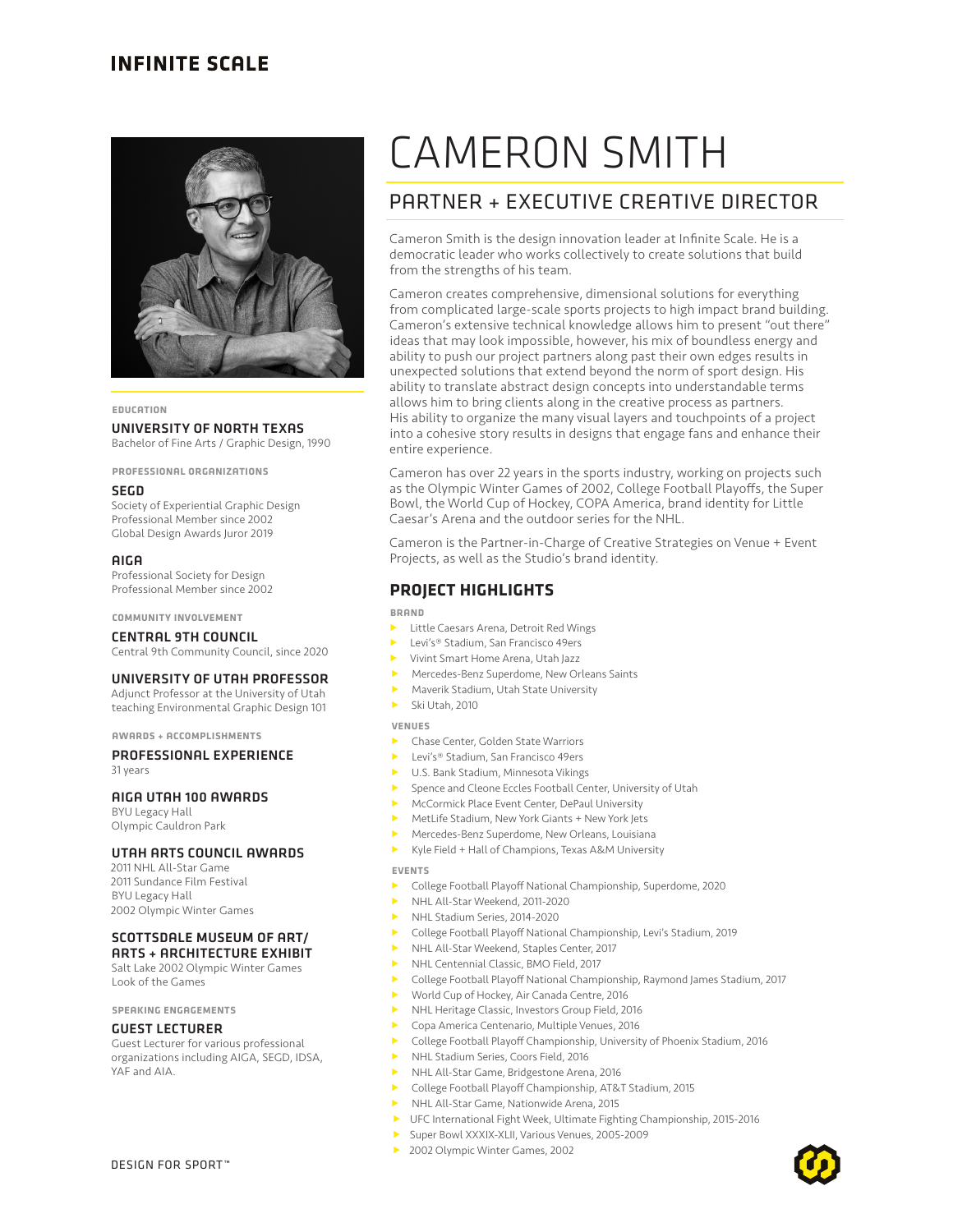

#### **EDUCATION**

#### UNIVERSITY OF NORTH TEXAS

Bachelor of Fine Arts / Graphic Design, 1990

**PROFESSIONAL ORGANIZATIONS**

#### SEGD

Society of Experiential Graphic Design Professional Member since 2002 Global Design Awards Juror 2019

#### AIGA

Professional Society for Design Professional Member since 2002

#### **COMMUNITY INVOLVEMENT**

#### CENTRAL 9TH COUNCIL

Central 9th Community Council, since 2020

# UNIVERSITY OF UTAH PROFESSOR

Adjunct Professor at the University of Utah teaching Environmental Graphic Design 101

**AWARDS + ACCOMPLISHMENTS**

# PROFESSIONAL EXPERIENCE

31 years

#### AIGA UTAH 100 AWARDS

BYU Legacy Hall Olympic Cauldron Park

# UTAH ARTS COUNCIL AWARDS

2011 NHL All-Star Game 2011 Sundance Film Festival BYU Legacy Hall 2002 Olympic Winter Games

#### SCOTTSDALE MUSEUM OF ART/ ARTS + ARCHITECTURE EXHIBIT

Salt Lake 2002 Olympic Winter Games Look of the Games

#### **SPEAKING ENGAGEMENTS**

#### GUEST LECTURER

Guest Lecturer for various professional organizations including AIGA, SEGD, IDSA, YAF and AIA.

# CAMERON SMITH

# PARTNER + EXECUTIVE CREATIVE DIRECTOR

Cameron Smith is the design innovation leader at Infinite Scale. He is a democratic leader who works collectively to create solutions that build from the strengths of his team.

Cameron creates comprehensive, dimensional solutions for everything from complicated large-scale sports projects to high impact brand building. Cameron's extensive technical knowledge allows him to present "out there" ideas that may look impossible, however, his mix of boundless energy and ability to push our project partners along past their own edges results in unexpected solutions that extend beyond the norm of sport design. His ability to translate abstract design concepts into understandable terms allows him to bring clients along in the creative process as partners. His ability to organize the many visual layers and touchpoints of a project into a cohesive story results in designs that engage fans and enhance their entire experience.

Cameron has over 22 years in the sports industry, working on projects such as the Olympic Winter Games of 2002, College Football Playoffs, the Super Bowl, the World Cup of Hockey, COPA America, brand identity for Little Caesar's Arena and the outdoor series for the NHL.

Cameron is the Partner-in-Charge of Creative Strategies on Venue + Event Projects, as well as the Studio's brand identity.

# **PROJECT HIGHLIGHTS**

#### **BRAND**

- **Exercise Little Caesars Arena, Detroit Red Wings**
- ▶ Levi's® Stadium, San Francisco 49ers
- **K** Vivint Smart Home Arena, Utah Jazz
- $\blacktriangleright$  Mercedes-Benz Superdome, New Orleans Saints
- **Maverik Stadium, Utah State University**
- $\blacktriangleright$  Ski Utah, 2010

**VENUES** 

- **F** Chase Center, Golden State Warriors
- Levi's® Stadium, San Francisco 49ers
- U.S. Bank Stadium, Minnesota Vikings
- Spence and Cleone Eccles Football Center, University of Utah
- McCormick Place Event Center, DePaul University
- $\blacktriangleright$  MetLife Stadium, New York Giants + New York Jets
- $\blacktriangleright$  Mercedes-Benz Superdome, New Orleans, Louisiana
- $\blacktriangleright$  Kyle Field + Hall of Champions, Texas A&M University

#### **EVENTS**

- **F** College Football Playoff National Championship, Superdome, 2020<br>
IN NHLAII-Star Weekend, 2011-2020
- NHL All-Star Weekend, 2011-2020
- **NHL Stadium Series, 2014-2020**
- **EXECOLLEGE Football Playoff National Championship, Levi's Stadium, 2019**
- **F** NHL All-Star Weekend, Staples Center, 2017
- **F** NHL Centennial Classic, BMO Field, 2017
- **F** College Football Playoff National Championship, Raymond James Stadium, 2017
	- World Cup of Hockey, Air Canada Centre, 2016
- **NHL Heritage Classic, Investors Group Field, 2016**
- **F** Copa America Centenario, Multiple Venues, 2016
- **F** College Football Playoff Championship, University of Phoenix Stadium, 2016
- **F** NHL Stadium Series, Coors Field, 2016
- **F** NHL All-Star Game, Bridgestone Arena, 2016
- **EX College Football Playoff Championship, AT&T Stadium, 2015**
- **NHL All-Star Game, Nationwide Arena, 2015**
- F UFC International Fight Week, Ultimate Fighting Championship, 2015-2016
- ▶ Super Bowl XXXIX-XLII, Various Venues, 2005-2009
- ▶ 2002 Olympic Winter Games, 2002